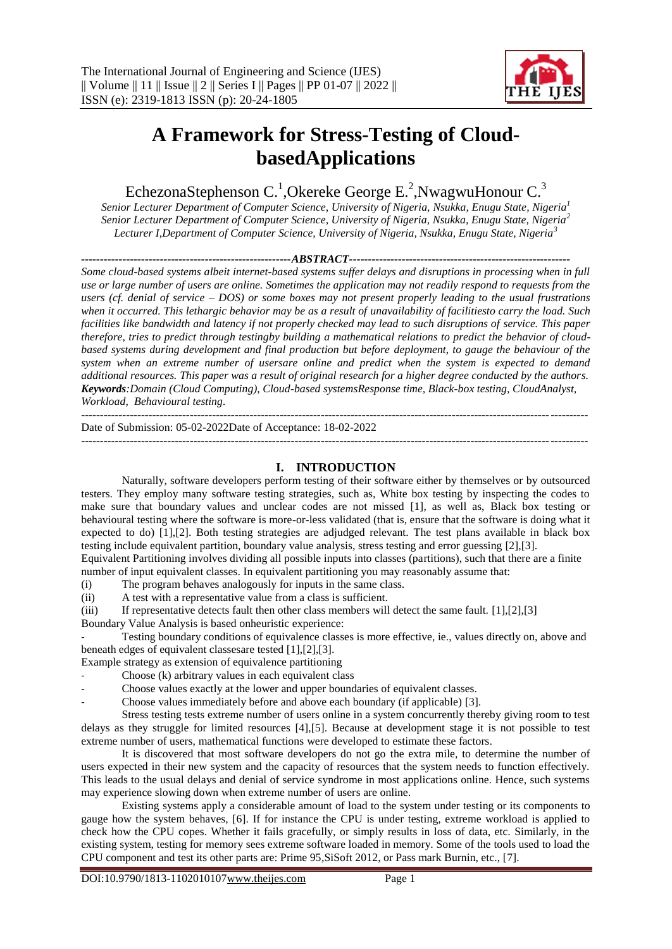

# **A Framework for Stress-Testing of CloudbasedApplications**

EchezonaStephenson C.<sup>1</sup>,Okereke George E.<sup>2</sup>,NwagwuHonour C.<sup>3</sup>

*Senior Lecturer Department of Computer Science, University of Nigeria, Nsukka, Enugu State, Nigeria<sup>1</sup> Senior Lecturer Department of Computer Science, University of Nigeria, Nsukka, Enugu State, Nigeria<sup>2</sup> Lecturer I,Department of Computer Science, University of Nigeria, Nsukka, Enugu State, Nigeria<sup>3</sup>*

*--------------------------------------------------------ABSTRACT-----------------------------------------------------------*

*Some cloud-based systems albeit internet-based systems suffer delays and disruptions in processing when in full use or large number of users are online. Sometimes the application may not readily respond to requests from the users (cf. denial of service – DOS) or some boxes may not present properly leading to the usual frustrations when it occurred. This lethargic behavior may be as a result of unavailability of facilitiesto carry the load. Such facilities like bandwidth and latency if not properly checked may lead to such disruptions of service. This paper therefore, tries to predict through testingby building a mathematical relations to predict the behavior of cloudbased systems during development and final production but before deployment, to gauge the behaviour of the system when an extreme number of usersare online and predict when the system is expected to demand additional resources. This paper was a result of original research for a higher degree conducted by the authors. Keywords:Domain (Cloud Computing), Cloud-based systemsResponse time, Black-box testing, CloudAnalyst, Workload, Behavioural testing.*

Date of Submission: 05-02-2022Date of Acceptance: 18-02-2022

---------------------------------------------------------------------------------------------------------------------------------------

## **I. INTRODUCTION**

---------------------------------------------------------------------------------------------------------------------------------------

Naturally, software developers perform testing of their software either by themselves or by outsourced testers. They employ many software testing strategies, such as, White box testing by inspecting the codes to make sure that boundary values and unclear codes are not missed [1], as well as, Black box testing or behavioural testing where the software is more-or-less validated (that is, ensure that the software is doing what it expected to do) [1],[2]. Both testing strategies are adjudged relevant. The test plans available in black box testing include equivalent partition, boundary value analysis, stress testing and error guessing [2],[3].

Equivalent Partitioning involves dividing all possible inputs into classes (partitions), such that there are a finite number of input equivalent classes. In equivalent partitioning you may reasonably assume that:

(i) The program behaves analogously for inputs in the same class.

(ii) A test with a representative value from a class is sufficient.

(iii) If representative detects fault then other class members will detect the same fault. [1],[2],[3] Boundary Value Analysis is based onheuristic experience:

Testing boundary conditions of equivalence classes is more effective, ie., values directly on, above and beneath edges of equivalent classesare tested [1],[2],[3].

Example strategy as extension of equivalence partitioning

- Choose (k) arbitrary values in each equivalent class
- Choose values exactly at the lower and upper boundaries of equivalent classes.
- Choose values immediately before and above each boundary (if applicable) [3].

Stress testing tests extreme number of users online in a system concurrently thereby giving room to test delays as they struggle for limited resources [4],[5]. Because at development stage it is not possible to test extreme number of users, mathematical functions were developed to estimate these factors.

It is discovered that most software developers do not go the extra mile, to determine the number of users expected in their new system and the capacity of resources that the system needs to function effectively. This leads to the usual delays and denial of service syndrome in most applications online. Hence, such systems may experience slowing down when extreme number of users are online.

Existing systems apply a considerable amount of load to the system under testing or its components to gauge how the system behaves, [6]. If for instance the CPU is under testing, extreme workload is applied to check how the CPU copes. Whether it fails gracefully, or simply results in loss of data, etc. Similarly, in the existing system, testing for memory sees extreme software loaded in memory. Some of the tools used to load the CPU component and test its other parts are: Prime 95,SiSoft 2012, or Pass mark Burnin, etc., [7].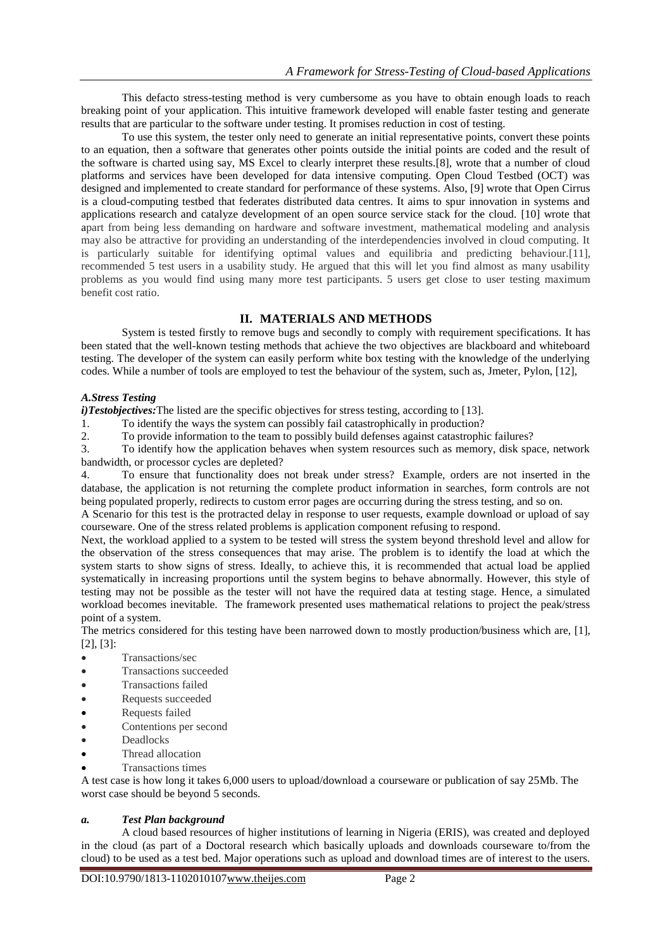This defacto stress-testing method is very cumbersome as you have to obtain enough loads to reach breaking point of your application. This intuitive framework developed will enable faster testing and generate results that are particular to the software under testing. It promises reduction in cost of testing.

To use this system, the tester only need to generate an initial representative points, convert these points to an equation, then a software that generates other points outside the initial points are coded and the result of the software is charted using say, MS Excel to clearly interpret these results.[8], wrote that a number of cloud platforms and services have been developed for data intensive computing. Open Cloud Testbed (OCT) was designed and implemented to create standard for performance of these systems. Also, [9] wrote that Open Cirrus is a cloud-computing testbed that federates distributed data centres. It aims to spur innovation in systems and applications research and catalyze development of an open source service stack for the cloud. [10] wrote that apart from being less demanding on hardware and software investment, mathematical modeling and analysis may also be attractive for providing an understanding of the interdependencies involved in cloud computing. It is particularly suitable for identifying optimal values and equilibria and predicting behaviour.[11], recommended 5 test users in a usability study. He argued that this will let you find almost as many usability problems as you would find using many more test participants. 5 users get close to user testing maximum benefit cost ratio.

# **II. MATERIALS AND METHODS**

System is tested firstly to remove bugs and secondly to comply with requirement specifications. It has been stated that the well-known testing methods that achieve the two objectives are blackboard and whiteboard testing. The developer of the system can easily perform white box testing with the knowledge of the underlying codes. While a number of tools are employed to test the behaviour of the system, such as, Jmeter, Pylon, [12],

## *A.Stress Testing*

*i)Testobjectives*: The listed are the specific objectives for stress testing, according to [13].

1. To identify the ways the system can possibly fail catastrophically in production?

2. To provide information to the team to possibly build defenses against catastrophic failures?

3. To identify how the application behaves when system resources such as memory, disk space, network bandwidth, or processor cycles are depleted?

4. To ensure that functionality does not break under stress? Example, orders are not inserted in the database, the application is not returning the complete product information in searches, form controls are not being populated properly, redirects to custom error pages are occurring during the stress testing, and so on.

A Scenario for this test is the protracted delay in response to user requests, example download or upload of say courseware. One of the stress related problems is application component refusing to respond.

Next, the workload applied to a system to be tested will stress the system beyond threshold level and allow for the observation of the stress consequences that may arise. The problem is to identify the load at which the system starts to show signs of stress. Ideally, to achieve this, it is recommended that actual load be applied systematically in increasing proportions until the system begins to behave abnormally. However, this style of testing may not be possible as the tester will not have the required data at testing stage. Hence, a simulated workload becomes inevitable. The framework presented uses mathematical relations to project the peak/stress point of a system.

The metrics considered for this testing have been narrowed down to mostly production/business which are, [1], [2], [3]:

- Transactions/sec
- Transactions succeeded
- Transactions failed
- Requests succeeded
- Requests failed
- Contentions per second
- Deadlocks
- Thread allocation
- Transactions times

A test case is how long it takes 6,000 users to upload/download a courseware or publication of say 25Mb. The worst case should be beyond 5 seconds.

## *a. Test Plan background*

A cloud based resources of higher institutions of learning in Nigeria (ERIS), was created and deployed in the cloud (as part of a Doctoral research which basically uploads and downloads courseware to/from the cloud) to be used as a test bed. Major operations such as upload and download times are of interest to the users.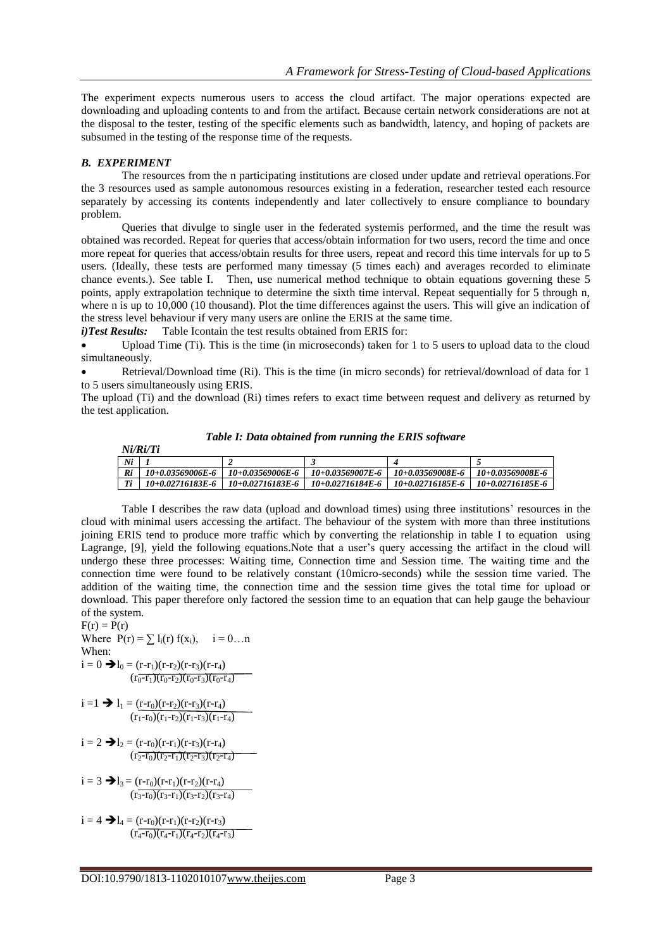The experiment expects numerous users to access the cloud artifact. The major operations expected are downloading and uploading contents to and from the artifact. Because certain network considerations are not at the disposal to the tester, testing of the specific elements such as bandwidth, latency, and hoping of packets are subsumed in the testing of the response time of the requests.

# *B. EXPERIMENT*

The resources from the n participating institutions are closed under update and retrieval operations.For the 3 resources used as sample autonomous resources existing in a federation, researcher tested each resource separately by accessing its contents independently and later collectively to ensure compliance to boundary problem.

Queries that divulge to single user in the federated systemis performed, and the time the result was obtained was recorded. Repeat for queries that access/obtain information for two users, record the time and once more repeat for queries that access/obtain results for three users, repeat and record this time intervals for up to 5 users. (Ideally, these tests are performed many timessay (5 times each) and averages recorded to eliminate chance events.). See table I. Then, use numerical method technique to obtain equations governing these 5 points, apply extrapolation technique to determine the sixth time interval. Repeat sequentially for 5 through n, where n is up to 10,000 (10 thousand). Plot the time differences against the users. This will give an indication of the stress level behaviour if very many users are online the ERIS at the same time.

*i*)Test Results: Table Icontain the test results obtained from ERIS for:

 Upload Time (Ti). This is the time (in microseconds) taken for 1 to 5 users to upload data to the cloud simultaneously.

 Retrieval/Download time (Ri). This is the time (in micro seconds) for retrieval/download of data for 1 to 5 users simultaneously using ERIS.

The upload (Ti) and the download (Ri) times refers to exact time between request and delivery as returned by the test application.

*Table I: Data obtained from running the ERIS software*

| 111111111 |                  |                  |                  |                  |                  |
|-----------|------------------|------------------|------------------|------------------|------------------|
| Ni        |                  |                  |                  |                  |                  |
| Ri        | 10+0.03569006E-6 | 10+0.03569006E-6 | 10+0.03569007E-6 | 10+0.03569008E-6 | 10+0.03569008E-6 |
| Ti        | 10+0.02716183E-6 | 10+0.02716183E-6 | 10+0.02716184E-6 | 10+0.02716185E-6 | 10+0.02716185E-6 |

Table I describes the raw data (upload and download times) using three institutions' resources in the cloud with minimal users accessing the artifact. The behaviour of the system with more than three institutions joining ERIS tend to produce more traffic which by converting the relationship in table I to equation using Lagrange, [9], yield the following equations.Note that a user's query accessing the artifact in the cloud will undergo these three processes: Waiting time, Connection time and Session time. The waiting time and the connection time were found to be relatively constant (10micro-seconds) while the session time varied. The addition of the waiting time, the connection time and the session time gives the total time for upload or download. This paper therefore only factored the session time to an equation that can help gauge the behaviour of the system.

 $F(r) = P(r)$ Where  $P(r) = \sum_i I_i(r) f(x_i)$ ,  $i = 0...n$ When:

*Ni/Ri/Ti*

 $i = 0 \blacktriangleright 1_0 = (r-r_1)(r-r_2)(r-r_3)(r-r_4)$  $(r_0-r_1)(r_0-r_2)(r_0-r_3)(r_0-r_4)$ 

 $i = 1 \rightarrow 1_1 = (r-r_0)(r-r_2)(r-r_3)(r-r_4)$  $(r_1-r_0)(r_1-r_2)(r_1-r_3)(r_1-r_4)$ 

 $i = 2 \blacktriangleright 1_2 = (r-r_0)(r-r_1)(r-r_3)(r-r_4)$  $(r_2-r_0)(r_2-r_1)(r_2-r_3)(r_2-r_4)$ 

 $i = 3 \blacktriangleright 1_3 = (r-r_0)(r-r_1)(r-r_2)(r-r_4)$  $(r_3-r_0)(r_3-r_1)(r_3-r_2)(r_3-r_4)$ 

 $i = 4 \blacktriangleright 1_4 = (r-r_0)(r-r_1)(r-r_2)(r-r_3)$  $(r_{4}T_{0})(r_{4}-r_{1})(r_{4}-r_{2})(r_{4}-r_{3})$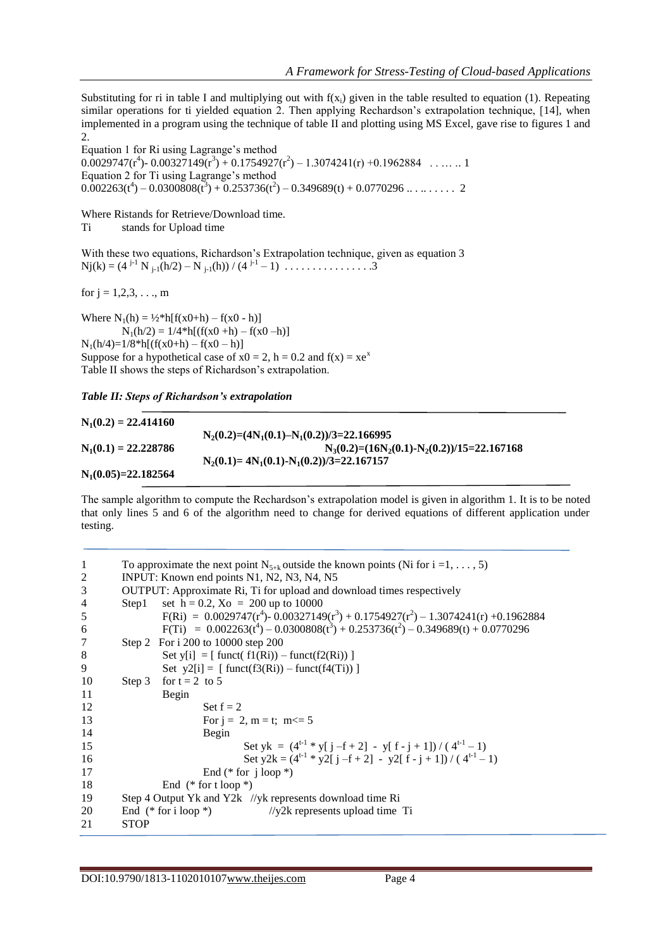Substituting for ri in table I and multiplying out with  $f(x_i)$  given in the table resulted to equation (1). Repeating similar operations for ti yielded equation 2. Then applying Rechardson's extrapolation technique, [14], when implemented in a program using the technique of table II and plotting using MS Excel, gave rise to figures 1 and 2.

Equation 1 for Ri using Lagrange's method  $0.0029747(r^4) - 0.00327149(r^3) + 0.1754927(r^2) - 1.3074241(r) + 0.1962884$  ...... 1 Equation 2 for Ti using Lagrange's method  $0.002263(t^4) - 0.0300808(t^3) + 0.253736(t^2) - 0.349689(t) + 0.0770296... \ldots$ 

Where Ristands for Retrieve/Download time.

Ti stands for Upload time

With these two equations, Richardson's Extrapolation technique, given as equation 3  $Nj(k) = (4^{j-1} N_{j-1}(h/2) - N_{j-1}(h)) / (4^{j-1} - 1) \dots \dots \dots \dots \dots$ 

for  $j = 1, 2, 3, \ldots, m$ 

Where  $N_1(h) = \frac{1}{2}$  h  $[f(x0+h) - f(x0 - h)]$  $N_1(h/2) = 1/4*h[(f(x0 + h) - f(x0 - h))]$  $N_1(h/4)=1/8*h[(f(x0+h)-f(x0-h)]$ Suppose for a hypothetical case of  $x0 = 2$ ,  $h = 0.2$  and  $f(x) = xe^{x}$ Table II shows the steps of Richardson's extrapolation.

*Table II: Steps of Richardson's extrapolation*

| $N_1(0.2) = 22.414160$ |                                                 |
|------------------------|-------------------------------------------------|
|                        | $N_2(0.2)=(4N_1(0.1)-N_1(0.2))/3=22.166995$     |
| $N_1(0.1) = 22.228786$ | $N_3(0.2)=(16N_2(0.1)-N_2(0.2))/15=22.167168$   |
|                        | $N_2(0.1) = 4N_1(0.1) - N_1(0.2)/3 = 22.167157$ |
| $N_1(0.05)=22.182564$  |                                                 |

The sample algorithm to compute the Rechardson's extrapolation model is given in algorithm 1. It is to be noted that only lines 5 and 6 of the algorithm need to change for derived equations of different application under testing.

```
1 To approximate the next point N_{5+k} outside the known points (Ni for i =1, ..., 5)<br>2 INPUT: Known end points N1, N2, N3, N4, N5
       2 INPUT: Known end points N1, N2, N3, N4, N5
3 OUTPUT: Approximate Ri, Ti for upload and download times respectively
4 Step1 set h = 0.2, Xo = 200 up to 10000
5 F(Ri) = 0.0029747(r^4) - 0.00327149(r^3) + 0.1754927(r^2) - 1.3074241(r) + 0.19628846 F(Ti) = 0.002263(t^4) - 0.0300808(t^3) + 0.253736(t^2) - 0.349689(t) + 0.07702967 Step 2 For i 200 to 10000 step 200
8 Set y[i] = [ funct( f1(Ri)) – funct( f2(Ri)) ]
9 Set y2[i] = [\text{funct}(f3(Ri)) - \text{funct}(f4(Ti))]10 Step 3 for t = 2 to 5
11 Begin
12 Set f = 213 For j = 2, m = t; m \le 514 Begin
15 Set yk = (4^{t-1} * y[j-f+2] - y[f-j+1])/ (4^{t-1} - 1)16 Set y2k = (4^{t-1} * y2[j - f + 2] - y2[f - j + 1])/(4^{t-1} - 1)17 End (* for j loop *)
18 End (* for t loop *)
19 Step 4 Output Yk and Y2k //yk represents download time Ri
20 End (* for i loop *) //y2k represents upload time Ti
21 STOP
```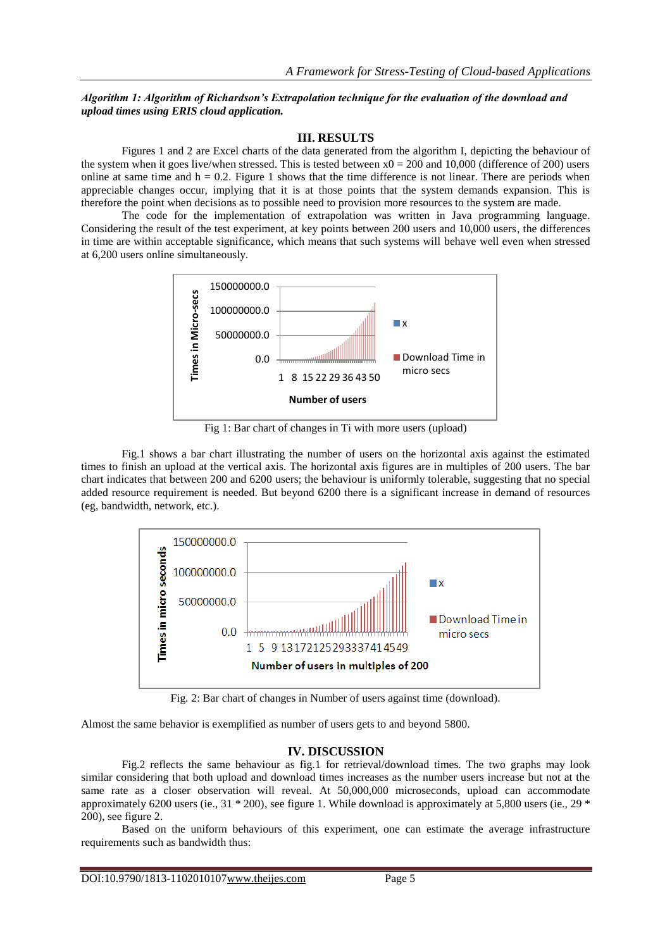## *Algorithm 1: Algorithm of Richardson's Extrapolation technique for the evaluation of the download and upload times using ERIS cloud application.*

## **III. RESULTS**

Figures 1 and 2 are Excel charts of the data generated from the algorithm I, depicting the behaviour of the system when it goes live/when stressed. This is tested between  $x0 = 200$  and 10,000 (difference of 200) users online at same time and  $h = 0.2$ . Figure 1 shows that the time difference is not linear. There are periods when appreciable changes occur, implying that it is at those points that the system demands expansion. This is therefore the point when decisions as to possible need to provision more resources to the system are made.

The code for the implementation of extrapolation was written in Java programming language. Considering the result of the test experiment, at key points between 200 users and 10,000 users, the differences in time are within acceptable significance, which means that such systems will behave well even when stressed at 6,200 users online simultaneously.



Fig 1: Bar chart of changes in Ti with more users (upload)

Fig.1 shows a bar chart illustrating the number of users on the horizontal axis against the estimated times to finish an upload at the vertical axis. The horizontal axis figures are in multiples of 200 users. The bar chart indicates that between 200 and 6200 users; the behaviour is uniformly tolerable, suggesting that no special added resource requirement is needed. But beyond 6200 there is a significant increase in demand of resources (eg, bandwidth, network, etc.).



Fig. 2: Bar chart of changes in Number of users against time (download).

Almost the same behavior is exemplified as number of users gets to and beyond 5800.

## **IV. DISCUSSION**

Fig.2 reflects the same behaviour as fig.1 for retrieval/download times. The two graphs may look similar considering that both upload and download times increases as the number users increase but not at the same rate as a closer observation will reveal. At 50,000,000 microseconds, upload can accommodate approximately 6200 users (ie., 31 \* 200), see figure 1. While download is approximately at 5,800 users (ie., 29 \* 200), see figure 2.

Based on the uniform behaviours of this experiment, one can estimate the average infrastructure requirements such as bandwidth thus: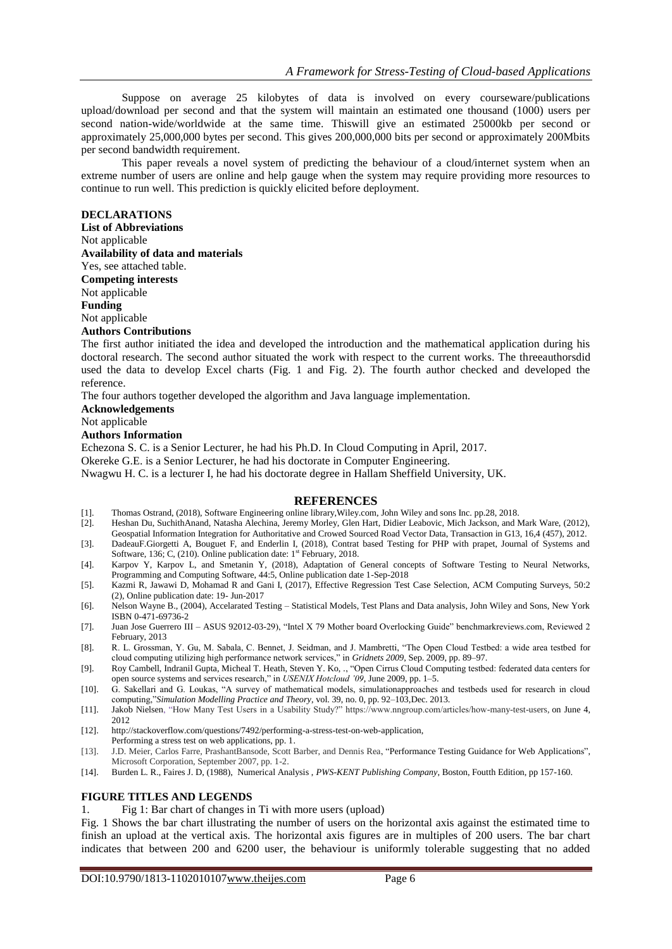Suppose on average 25 kilobytes of data is involved on every courseware/publications upload/download per second and that the system will maintain an estimated one thousand (1000) users per second nation-wide/worldwide at the same time. Thiswill give an estimated 25000kb per second or approximately 25,000,000 bytes per second. This gives 200,000,000 bits per second or approximately 200Mbits per second bandwidth requirement.

This paper reveals a novel system of predicting the behaviour of a cloud/internet system when an extreme number of users are online and help gauge when the system may require providing more resources to continue to run well. This prediction is quickly elicited before deployment.

## **DECLARATIONS**

**List of Abbreviations**

Not applicable

**Availability of data and materials**

Yes, see attached table.

**Competing interests**

Not applicable **Funding** 

Not applicable

#### **Authors Contributions**

The first author initiated the idea and developed the introduction and the mathematical application during his doctoral research. The second author situated the work with respect to the current works. The threeauthorsdid used the data to develop Excel charts (Fig. 1 and Fig. 2). The fourth author checked and developed the reference.

The four authors together developed the algorithm and Java language implementation.

#### **Acknowledgements**

Not applicable

#### **Authors Information**

Echezona S. C. is a Senior Lecturer, he had his Ph.D. In Cloud Computing in April, 2017.

Okereke G.E. is a Senior Lecturer, he had his doctorate in Computer Engineering.

Nwagwu H. C. is a lecturer I, he had his doctorate degree in Hallam Sheffield University, UK.

## **REFERENCES**

- [1]. Thomas Ostrand, (2018), Software Engineering online library,Wiley.com, John Wiley and sons Inc. pp.28, 2018.
- [2]. Heshan Du, SuchithAnand, Natasha Alechina, Jeremy Morley, Glen Hart, Didier Leabovic, Mich Jackson, and Mark Ware, (2012), Geospatial Information Integration for Authoritative and Crowed Sourced Road Vector Data, Transaction in G13, 16,4 (457), 2012.
- [3]. DadeauF.Giorgetti A, Bouguet F, and Enderlin I, (2018), Contrat based Testing for PHP with prapet, Journal of Systems and Software, 136; C,  $(210)$ . Online publication date: 1<sup>st</sup> February, 2018.
- [4]. Karpov Y, Karpov L, and Smetanin Y, (2018), Adaptation of General concepts of Software Testing to Neural Networks, Programming and Computing Software, 44:5, Online publication date 1-Sep-2018
- [5]. Kazmi R, Jawawi D, Mohamad R and Gani I, (2017), Effective Regression Test Case Selection, ACM Computing Surveys, 50:2 (2), Online publication date: 19- Jun-2017
- [6]. Nelson Wayne B., (2004), Accelarated Testing Statistical Models, Test Plans and Data analysis, John Wiley and Sons, New York ISBN 0-471-69736-2
- [7]. Juan Jose Guerrero III ASUS 92012-03-29), "Intel X 79 Mother board Overlocking Guide" benchmarkreviews.com, Reviewed 2 February, 2013
- [8]. R. L. Grossman, Y. Gu, M. Sabala, C. Bennet, J. Seidman, and J. Mambretti, "The Open Cloud Testbed: a wide area testbed for cloud computing utilizing high performance network services," in *Gridnets 2009*, Sep. 2009, pp. 89–97.
- [9]. Roy Cambell, Indranil Gupta, Micheal T. Heath, Steven Y. Ko, *.*, "Open Cirrus Cloud Computing testbed: federated data centers for open source systems and services research," in *USENIX Hotcloud '09*, June 2009, pp. 1–5.
- [10]. G. Sakellari and G. Loukas, "A survey of mathematical models, simulationapproaches and testbeds used for research in cloud computing,"*Simulation Modelling Practice and Theory*, vol. 39, no. 0, pp. 92–103,Dec. 2013.
- [11]. [Jakob Nielsen,](https://www.nngroup.com/articles/author/jakob-nielsen/) "How Many Test Users in a Usability Study?" https://www.nngroup.com/articles/how-many-test-users, on June 4, 2012
- [12]. http://stackoverflow.com/questions/7492/performing-a-stress-test-on-web-application,
- Performing a stress test on web applications, pp. 1.
- [13]. J.D. Meier, Carlos Farre, PrashantBansode, Scott Barber, and Dennis Rea, "Performance Testing Guidance for Web Applications", Microsoft Corporation, September 2007, pp. 1-2.
- [14]. Burden L. R., Faires J. D, (1988), Numerical Analysis , *PWS-KENT Publishing Company*, Boston, Foutth Edition, pp 157-160.

## **FIGURE TITLES AND LEGENDS**

1. Fig 1: Bar chart of changes in Ti with more users (upload)

Fig. 1 Shows the bar chart illustrating the number of users on the horizontal axis against the estimated time to finish an upload at the vertical axis. The horizontal axis figures are in multiples of 200 users. The bar chart indicates that between 200 and 6200 user, the behaviour is uniformly tolerable suggesting that no added